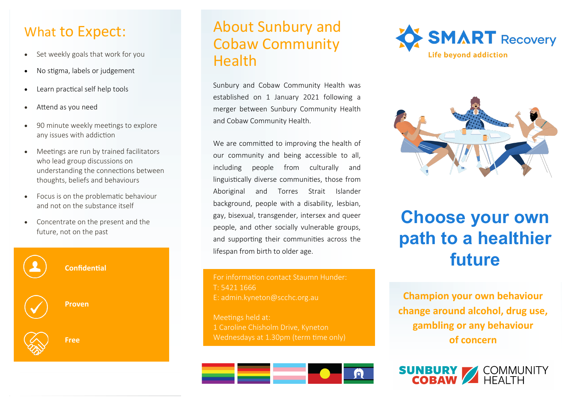### What to Expect:

- Set weekly goals that work for you
- No stigma, labels or judgement
- Learn practical self help tools
- Attend as you need
- 90 minute weekly meetings to explore any issues with addiction
- Meetings are run by trained facilitators who lead group discussions on understanding the connections between thoughts, beliefs and behaviours
- Focus is on the problematic behaviour and not on the substance itself
- Concentrate on the present and the future, not on the past



### About Sunbury and Cobaw Community Health

Sunbury and Cobaw Community Health was established on 1 January 2021 following a merger between Sunbury Community Health and Cobaw Community Health.

We are committed to improving the health of our community and being accessible to all, including people from culturally and linguistically diverse communities, those from Aboriginal and Torres Strait Islander background, people with a disability, lesbian, gay, bisexual, transgender, intersex and queer people, and other socially vulnerable groups, and supporting their communities across the lifespan from birth to older age.

For information contact Staumn Hunder: T: 5421 1666 E: admin.kyneton@scchc.org.au

Meetings held at: 1 Caroline Chisholm Drive, Kyneton Wednesdays at 1.30pm (term time only)







# **Choose your own path to a healthier future**

**Champion your own behaviour change around alcohol, drug use, gambling or any behaviour of concern**